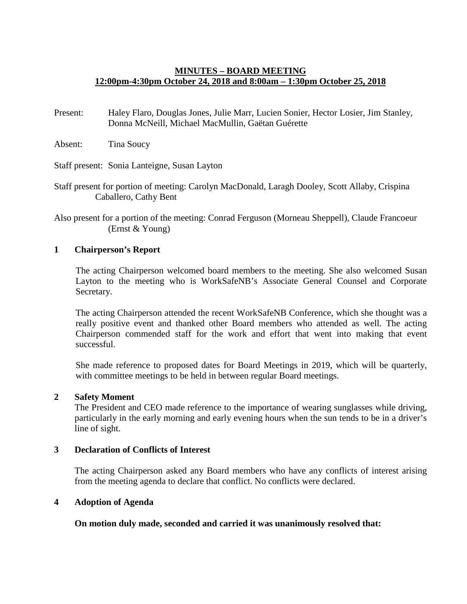### **MINUTES – BOARD MEETING 12:00pm-4:30pm October 24, 2018 and 8:00am – 1:30pm October 25, 2018**

Present: Haley Flaro, Douglas Jones, Julie Marr, Lucien Sonier, Hector Losier, Jim Stanley, Donna McNeill, Michael MacMullin, Gaëtan Guérette

Absent: Tina Soucy

Staff present: Sonia Lanteigne, Susan Layton

- Staff present for portion of meeting: Carolyn MacDonald, Laragh Dooley, Scott Allaby, Crispina Caballero, Cathy Bent
- Also present for a portion of the meeting: Conrad Ferguson (Morneau Sheppell), Claude Francoeur (Ernst & Young)

#### **1 Chairperson's Report**

The acting Chairperson welcomed board members to the meeting. She also welcomed Susan Layton to the meeting who is WorkSafeNB's Associate General Counsel and Corporate Secretary.

The acting Chairperson attended the recent WorkSafeNB Conference, which she thought was a really positive event and thanked other Board members who attended as well. The acting Chairperson commended staff for the work and effort that went into making that event successful.

She made reference to proposed dates for Board Meetings in 2019, which will be quarterly, with committee meetings to be held in between regular Board meetings.

#### **2 Safety Moment**

The President and CEO made reference to the importance of wearing sunglasses while driving, particularly in the early morning and early evening hours when the sun tends to be in a driver's line of sight.

#### **3 Declaration of Conflicts of Interest**

The acting Chairperson asked any Board members who have any conflicts of interest arising from the meeting agenda to declare that conflict. No conflicts were declared.

#### **4 Adoption of Agenda**

**On motion duly made, seconded and carried it was unanimously resolved that:**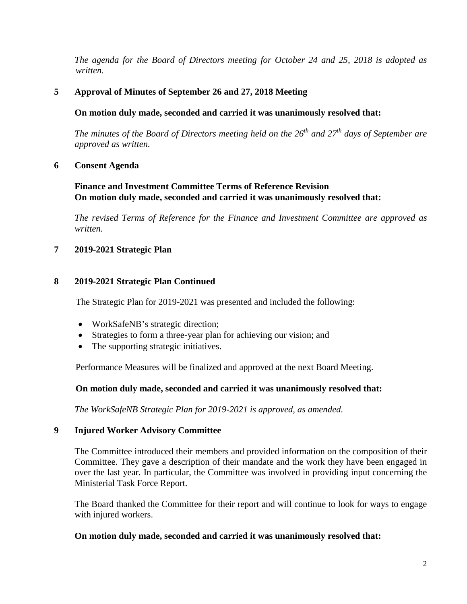*The agenda for the Board of Directors meeting for October 24 and 25, 2018 is adopted as written.*

# **5 Approval of Minutes of September 26 and 27, 2018 Meeting**

## **On motion duly made, seconded and carried it was unanimously resolved that:**

*The minutes of the Board of Directors meeting held on the 26th and 27th days of September are approved as written.*

# **6 Consent Agenda**

#### **Finance and Investment Committee Terms of Reference Revision On motion duly made, seconded and carried it was unanimously resolved that:**

*The revised Terms of Reference for the Finance and Investment Committee are approved as written.*

# **7 2019-2021 Strategic Plan**

# **8 2019-2021 Strategic Plan Continued**

The Strategic Plan for 2019-2021 was presented and included the following:

- WorkSafeNB's strategic direction;
- Strategies to form a three-year plan for achieving our vision; and
- The supporting strategic initiatives.

Performance Measures will be finalized and approved at the next Board Meeting.

### **On motion duly made, seconded and carried it was unanimously resolved that:**

*The WorkSafeNB Strategic Plan for 2019-2021 is approved, as amended.*

### **9 Injured Worker Advisory Committee**

The Committee introduced their members and provided information on the composition of their Committee. They gave a description of their mandate and the work they have been engaged in over the last year. In particular, the Committee was involved in providing input concerning the Ministerial Task Force Report.

The Board thanked the Committee for their report and will continue to look for ways to engage with injured workers.

### **On motion duly made, seconded and carried it was unanimously resolved that:**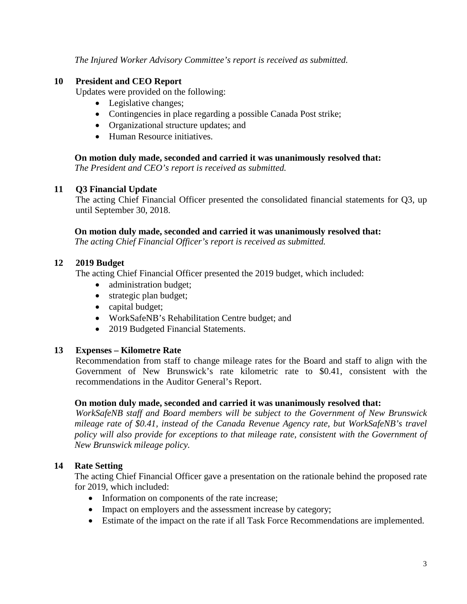*The Injured Worker Advisory Committee's report is received as submitted.*

## **10 President and CEO Report**

Updates were provided on the following:

- Legislative changes;
- Contingencies in place regarding a possible Canada Post strike;
- Organizational structure updates; and
- Human Resource initiatives.

### **On motion duly made, seconded and carried it was unanimously resolved that:**

*The President and CEO's report is received as submitted.*

# **11 Q3 Financial Update**

The acting Chief Financial Officer presented the consolidated financial statements for Q3, up until September 30, 2018.

### **On motion duly made, seconded and carried it was unanimously resolved that:**

*The acting Chief Financial Officer's report is received as submitted.*

# **12 2019 Budget**

The acting Chief Financial Officer presented the 2019 budget, which included:

- administration budget;
- strategic plan budget;
- capital budget;
- WorkSafeNB's Rehabilitation Centre budget; and
- 2019 Budgeted Financial Statements.

# **13 Expenses – Kilometre Rate**

Recommendation from staff to change mileage rates for the Board and staff to align with the Government of New Brunswick's rate kilometric rate to \$0.41, consistent with the recommendations in the Auditor General's Report.

### **On motion duly made, seconded and carried it was unanimously resolved that:**

*WorkSafeNB staff and Board members will be subject to the Government of New Brunswick mileage rate of \$0.41, instead of the Canada Revenue Agency rate, but WorkSafeNB's travel policy will also provide for exceptions to that mileage rate, consistent with the Government of New Brunswick mileage policy.* 

# **14 Rate Setting**

The acting Chief Financial Officer gave a presentation on the rationale behind the proposed rate for 2019, which included:

- Information on components of the rate increase;
- Impact on employers and the assessment increase by category;
- Estimate of the impact on the rate if all Task Force Recommendations are implemented.